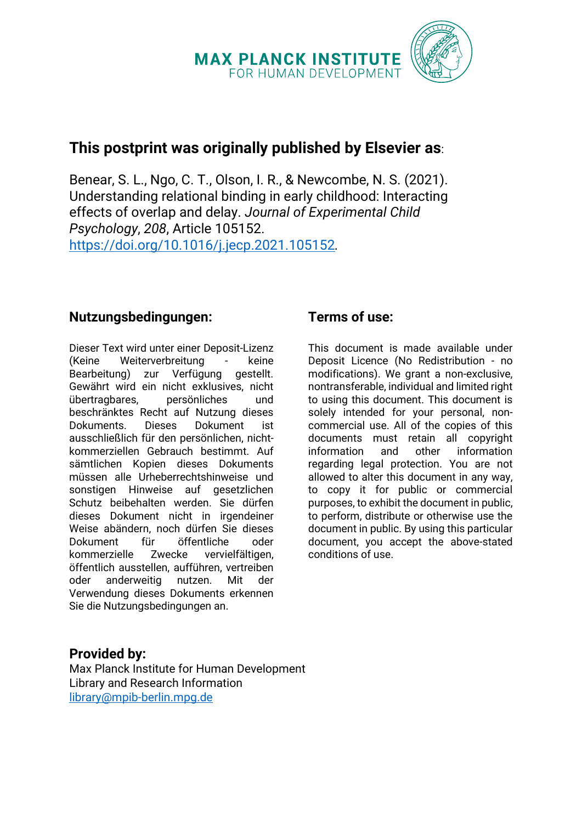

# **This postprint was originally published by Elsevier as**:

Benear, S. L., Ngo, C. T., Olson, I. R., & Newcombe, N. S. (2021). Understanding relational binding in early childhood: Interacting effects of overlap and delay. *Journal of Experimental Child Psychology*, *208*, Article 105152. <https://doi.org/10.1016/j.jecp.2021.105152>*.*

## **Nutzungsbedingungen:**

Dieser Text wird unter einer Deposit-Lizenz (Keine Weiterverbreitung - keine Bearbeitung) zur Verfügung gestellt. Gewährt wird ein nicht exklusives, nicht übertragbares, persönliches und beschränktes Recht auf Nutzung dieses Dokuments. Dieses Dokument ist ausschließlich für den persönlichen, nichtkommerziellen Gebrauch bestimmt. Auf sämtlichen Kopien dieses Dokuments müssen alle Urheberrechtshinweise und sonstigen Hinweise auf gesetzlichen Schutz beibehalten werden. Sie dürfen dieses Dokument nicht in irgendeiner Weise abändern, noch dürfen Sie dieses Dokument für öffentliche oder kommerzielle Zwecke vervielfältigen, öffentlich ausstellen, aufführen, vertreiben oder anderweitig nutzen. Mit der Verwendung dieses Dokuments erkennen Sie die Nutzungsbedingungen an.

# **Terms of use:**

This document is made available under Deposit Licence (No Redistribution - no modifications). We grant a non-exclusive, nontransferable, individual and limited right to using this document. This document is solely intended for your personal, noncommercial use. All of the copies of this documents must retain all copyright information and other information regarding legal protection. You are not allowed to alter this document in any way, to copy it for public or commercial purposes, to exhibit the document in public, to perform, distribute or otherwise use the document in public. By using this particular document, you accept the above-stated conditions of use.

## **Provided by:**

Max Planck Institute for Human Development Library and Research Information [library@mpib-berlin.mpg.de](mailto:library@mpib-berlin.mpg.de)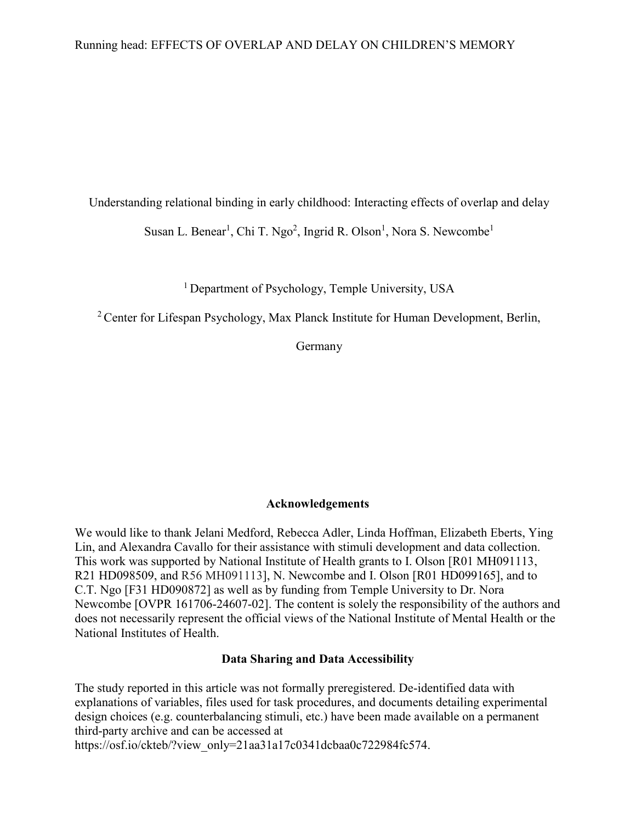## Running head: EFFECTS OF OVERLAP AND DELAY ON CHILDREN'S MEMORY

Understanding relational binding in early childhood: Interacting effects of overlap and delay

Susan L. Benear<sup>1</sup>, Chi T. Ngo<sup>2</sup>, Ingrid R. Olson<sup>1</sup>, Nora S. Newcombe<sup>1</sup>

<sup>1</sup> Department of Psychology, Temple University, USA

<sup>2</sup> Center for Lifespan Psychology, Max Planck Institute for Human Development, Berlin,

Germany

## **Acknowledgements**

We would like to thank Jelani Medford, Rebecca Adler, Linda Hoffman, Elizabeth Eberts, Ying Lin, and Alexandra Cavallo for their assistance with stimuli development and data collection. This work was supported by National Institute of Health grants to I. Olson [R01 MH091113, R21 HD098509, and R56 MH091113], N. Newcombe and I. Olson [R01 HD099165], and to C.T. Ngo [F31 HD090872] as well as by funding from Temple University to Dr. Nora Newcombe [OVPR 161706-24607-02]. The content is solely the responsibility of the authors and does not necessarily represent the official views of the National Institute of Mental Health or the National Institutes of Health.

### **Data Sharing and Data Accessibility**

The study reported in this article was not formally preregistered. De-identified data with explanations of variables, files used for task procedures, and documents detailing experimental design choices (e.g. counterbalancing stimuli, etc.) have been made available on a permanent third-party archive and can be accessed at

https://osf.io/ckteb/?view\_only=21aa31a17c0341dcbaa0c722984fc574.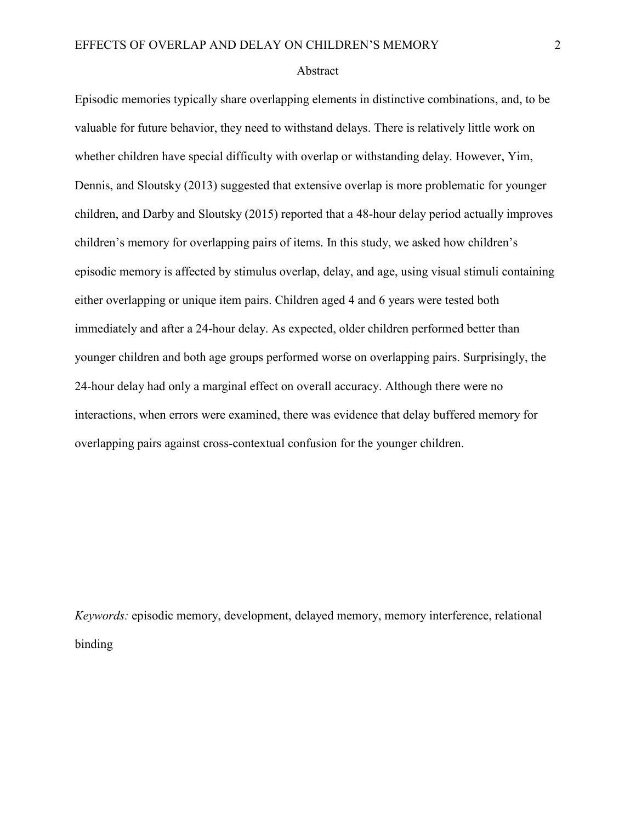#### Abstract

Episodic memories typically share overlapping elements in distinctive combinations, and, to be valuable for future behavior, they need to withstand delays. There is relatively little work on whether children have special difficulty with overlap or withstanding delay. However, Yim, Dennis, and Sloutsky (2013) suggested that extensive overlap is more problematic for younger children, and Darby and Sloutsky (2015) reported that a 48-hour delay period actually improves children's memory for overlapping pairs of items. In this study, we asked how children's episodic memory is affected by stimulus overlap, delay, and age, using visual stimuli containing either overlapping or unique item pairs. Children aged 4 and 6 years were tested both immediately and after a 24-hour delay. As expected, older children performed better than younger children and both age groups performed worse on overlapping pairs. Surprisingly, the 24-hour delay had only a marginal effect on overall accuracy. Although there were no interactions, when errors were examined, there was evidence that delay buffered memory for overlapping pairs against cross-contextual confusion for the younger children.

*Keywords:* episodic memory, development, delayed memory, memory interference, relational binding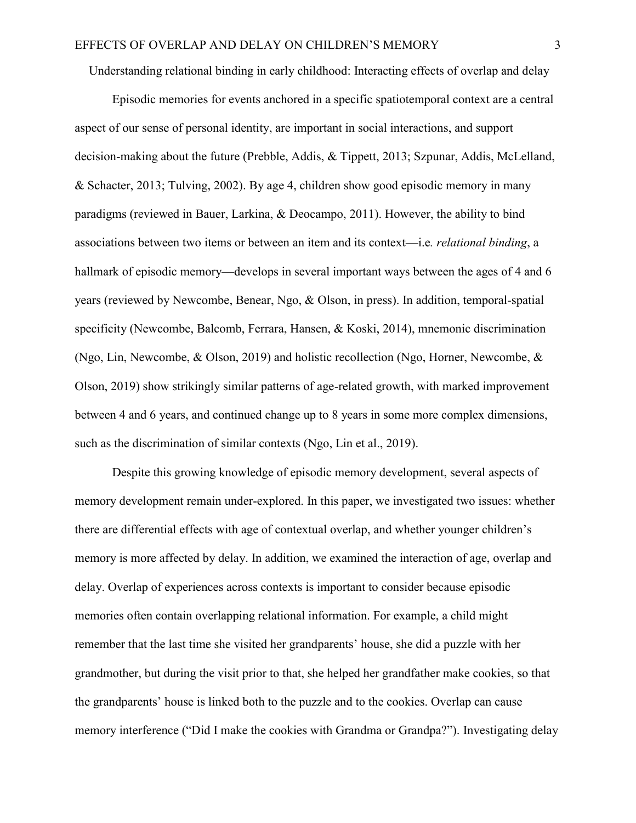Understanding relational binding in early childhood: Interacting effects of overlap and delay

Episodic memories for events anchored in a specific spatiotemporal context are a central aspect of our sense of personal identity, are important in social interactions, and support decision-making about the future (Prebble, Addis, & Tippett, 2013; Szpunar, Addis, McLelland, & Schacter, 2013; Tulving, 2002). By age 4, children show good episodic memory in many paradigms (reviewed in Bauer, Larkina, & Deocampo, 2011). However, the ability to bind associations between two items or between an item and its context—i.e*. relational binding*, a hallmark of episodic memory—develops in several important ways between the ages of 4 and 6 years (reviewed by Newcombe, Benear, Ngo, & Olson, in press). In addition, temporal-spatial specificity (Newcombe, Balcomb, Ferrara, Hansen, & Koski, 2014), mnemonic discrimination (Ngo, Lin, Newcombe, & Olson, 2019) and holistic recollection (Ngo, Horner, Newcombe, & Olson, 2019) show strikingly similar patterns of age-related growth, with marked improvement between 4 and 6 years, and continued change up to 8 years in some more complex dimensions, such as the discrimination of similar contexts (Ngo, Lin et al., 2019).

Despite this growing knowledge of episodic memory development, several aspects of memory development remain under-explored. In this paper, we investigated two issues: whether there are differential effects with age of contextual overlap, and whether younger children's memory is more affected by delay. In addition, we examined the interaction of age, overlap and delay. Overlap of experiences across contexts is important to consider because episodic memories often contain overlapping relational information. For example, a child might remember that the last time she visited her grandparents' house, she did a puzzle with her grandmother, but during the visit prior to that, she helped her grandfather make cookies, so that the grandparents' house is linked both to the puzzle and to the cookies. Overlap can cause memory interference ("Did I make the cookies with Grandma or Grandpa?"). Investigating delay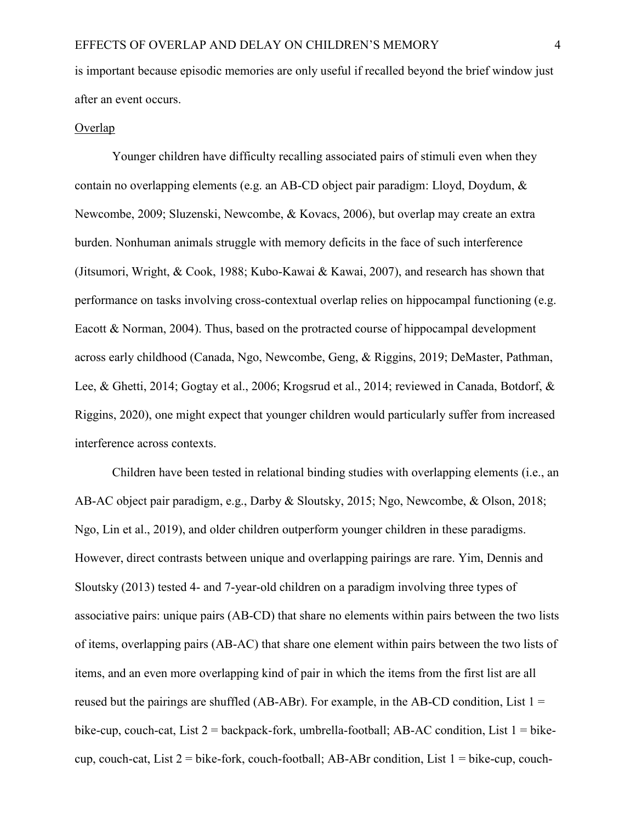is important because episodic memories are only useful if recalled beyond the brief window just after an event occurs.

## Overlap

Younger children have difficulty recalling associated pairs of stimuli even when they contain no overlapping elements (e.g. an AB-CD object pair paradigm: Lloyd, Doydum, & Newcombe, 2009; Sluzenski, Newcombe, & Kovacs, 2006), but overlap may create an extra burden. Nonhuman animals struggle with memory deficits in the face of such interference (Jitsumori, Wright, & Cook, 1988; Kubo-Kawai & Kawai, 2007), and research has shown that performance on tasks involving cross-contextual overlap relies on hippocampal functioning (e.g. Eacott & Norman, 2004). Thus, based on the protracted course of hippocampal development across early childhood (Canada, Ngo, Newcombe, Geng, & Riggins, 2019; DeMaster, Pathman, Lee, & Ghetti, 2014; Gogtay et al., 2006; Krogsrud et al., 2014; reviewed in Canada, Botdorf, & Riggins, 2020), one might expect that younger children would particularly suffer from increased interference across contexts.

Children have been tested in relational binding studies with overlapping elements (i.e., an AB-AC object pair paradigm, e.g., Darby & Sloutsky, 2015; Ngo, Newcombe, & Olson, 2018; Ngo, Lin et al., 2019), and older children outperform younger children in these paradigms. However, direct contrasts between unique and overlapping pairings are rare. Yim, Dennis and Sloutsky (2013) tested 4- and 7-year-old children on a paradigm involving three types of associative pairs: unique pairs (AB-CD) that share no elements within pairs between the two lists of items, overlapping pairs (AB-AC) that share one element within pairs between the two lists of items, and an even more overlapping kind of pair in which the items from the first list are all reused but the pairings are shuffled (AB-ABr). For example, in the AB-CD condition, List  $1 =$ bike-cup, couch-cat, List 2 = backpack-fork, umbrella-football; AB-AC condition, List 1 = bikecup, couch-cat, List  $2 =$  bike-fork, couch-football; AB-ABr condition, List  $1 =$  bike-cup, couch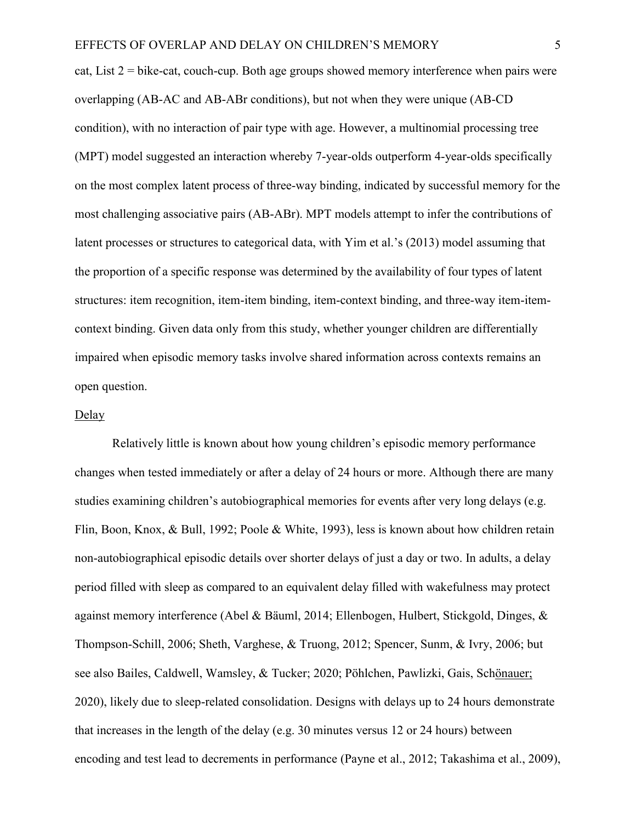cat, List 2 = bike-cat, couch-cup. Both age groups showed memory interference when pairs were overlapping (AB-AC and AB-ABr conditions), but not when they were unique (AB-CD condition), with no interaction of pair type with age. However, a multinomial processing tree (MPT) model suggested an interaction whereby 7-year-olds outperform 4-year-olds specifically on the most complex latent process of three-way binding, indicated by successful memory for the most challenging associative pairs (AB-ABr). MPT models attempt to infer the contributions of latent processes or structures to categorical data, with Yim et al.'s (2013) model assuming that the proportion of a specific response was determined by the availability of four types of latent structures: item recognition, item-item binding, item-context binding, and three-way item-itemcontext binding. Given data only from this study, whether younger children are differentially impaired when episodic memory tasks involve shared information across contexts remains an open question.

## **Delay**

Relatively little is known about how young children's episodic memory performance changes when tested immediately or after a delay of 24 hours or more. Although there are many studies examining children's autobiographical memories for events after very long delays (e.g. Flin, Boon, Knox, & Bull, 1992; Poole & White, 1993), less is known about how children retain non-autobiographical episodic details over shorter delays of just a day or two. In adults, a delay period filled with sleep as compared to an equivalent delay filled with wakefulness may protect against memory interference (Abel & Bäuml, 2014; Ellenbogen, Hulbert, Stickgold, Dinges, & Thompson-Schill, 2006; Sheth, Varghese, & Truong, 2012; Spencer, Sunm, & Ivry, 2006; but see also Bailes, Caldwell, Wamsley, & Tucker; 2020; Pöhlchen, Pawlizki, Gais, Schönauer; 2020), likely due to sleep-related consolidation. Designs with delays up to 24 hours demonstrate that increases in the length of the delay (e.g. 30 minutes versus 12 or 24 hours) between encoding and test lead to decrements in performance (Payne et al., 2012; Takashima et al., 2009),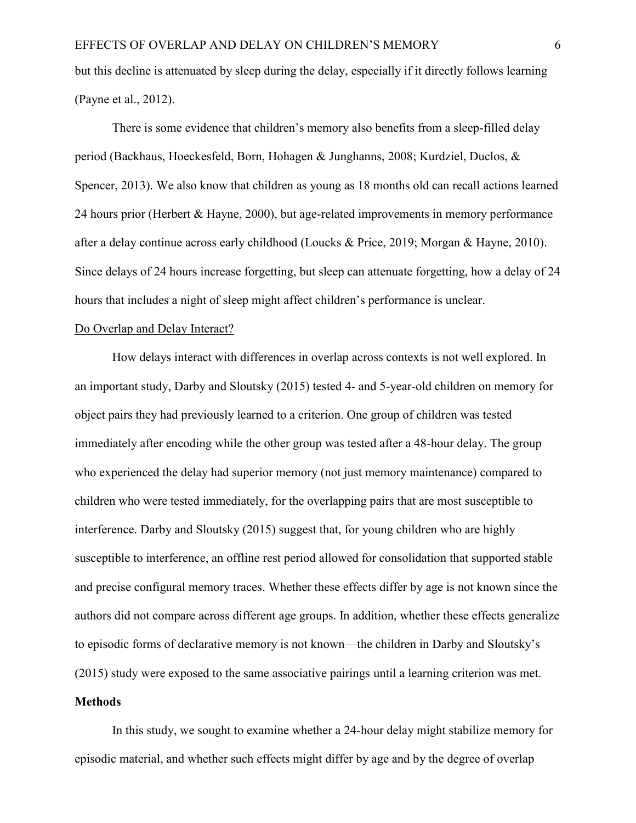but this decline is attenuated by sleep during the delay, especially if it directly follows learning (Payne et al., 2012).

There is some evidence that children's memory also benefits from a sleep-filled delay period (Backhaus, Hoeckesfeld, Born, Hohagen & Junghanns, 2008; Kurdziel, Duclos, & Spencer, 2013). We also know that children as young as 18 months old can recall actions learned 24 hours prior (Herbert & Hayne, 2000), but age-related improvements in memory performance after a delay continue across early childhood (Loucks & Price, 2019; Morgan & Hayne, 2010). Since delays of 24 hours increase forgetting, but sleep can attenuate forgetting, how a delay of 24 hours that includes a night of sleep might affect children's performance is unclear.

#### Do Overlap and Delay Interact?

How delays interact with differences in overlap across contexts is not well explored. In an important study, Darby and Sloutsky (2015) tested 4- and 5-year-old children on memory for object pairs they had previously learned to a criterion. One group of children was tested immediately after encoding while the other group was tested after a 48-hour delay. The group who experienced the delay had superior memory (not just memory maintenance) compared to children who were tested immediately, for the overlapping pairs that are most susceptible to interference. Darby and Sloutsky (2015) suggest that, for young children who are highly susceptible to interference, an offline rest period allowed for consolidation that supported stable and precise configural memory traces. Whether these effects differ by age is not known since the authors did not compare across different age groups. In addition, whether these effects generalize to episodic forms of declarative memory is not known—the children in Darby and Sloutsky's (2015) study were exposed to the same associative pairings until a learning criterion was met.

### **Methods**

In this study, we sought to examine whether a 24-hour delay might stabilize memory for episodic material, and whether such effects might differ by age and by the degree of overlap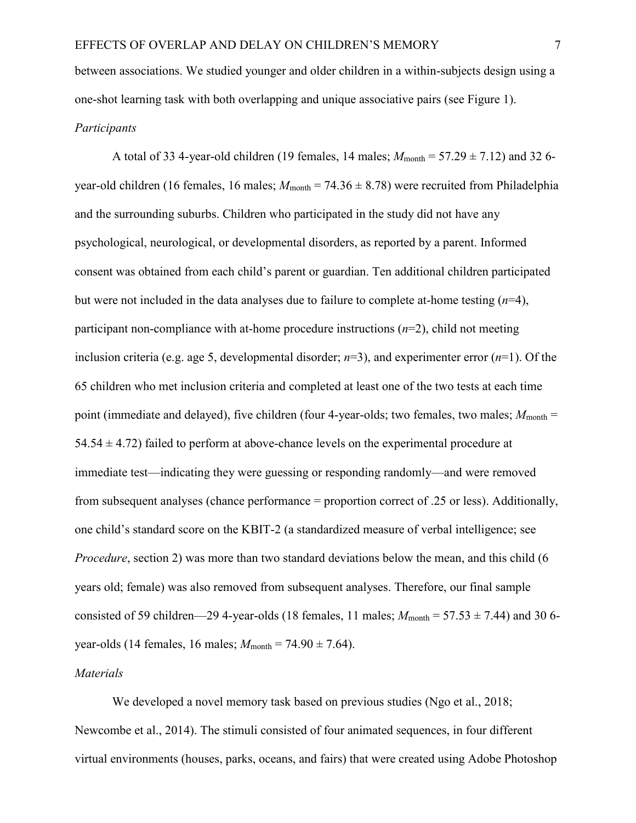between associations. We studied younger and older children in a within-subjects design using a one-shot learning task with both overlapping and unique associative pairs (see Figure 1).

## *Participants*

A total of 33 4-year-old children (19 females, 14 males;  $M_{\text{month}} = 57.29 \pm 7.12$ ) and 32 6year-old children (16 females, 16 males;  $M_{\text{month}} = 74.36 \pm 8.78$ ) were recruited from Philadelphia and the surrounding suburbs. Children who participated in the study did not have any psychological, neurological, or developmental disorders, as reported by a parent. Informed consent was obtained from each child's parent or guardian. Ten additional children participated but were not included in the data analyses due to failure to complete at-home testing (*n*=4), participant non-compliance with at-home procedure instructions (*n*=2), child not meeting inclusion criteria (e.g. age 5, developmental disorder; *n*=3), and experimenter error (*n*=1). Of the 65 children who met inclusion criteria and completed at least one of the two tests at each time point (immediate and delayed), five children (four 4-year-olds; two females, two males;  $M_{\text{month}} =$ 54.54  $\pm$  4.72) failed to perform at above-chance levels on the experimental procedure at immediate test—indicating they were guessing or responding randomly—and were removed from subsequent analyses (chance performance = proportion correct of .25 or less). Additionally, one child's standard score on the KBIT-2 (a standardized measure of verbal intelligence; see *Procedure*, section 2) was more than two standard deviations below the mean, and this child (6) years old; female) was also removed from subsequent analyses. Therefore, our final sample consisted of 59 children—29 4-year-olds (18 females, 11 males;  $M_{\text{month}} = 57.53 \pm 7.44$ ) and 30 6year-olds (14 females, 16 males;  $M_{\text{month}} = 74.90 \pm 7.64$ ).

## *Materials*

We developed a novel memory task based on previous studies (Ngo et al., 2018; Newcombe et al., 2014). The stimuli consisted of four animated sequences, in four different virtual environments (houses, parks, oceans, and fairs) that were created using Adobe Photoshop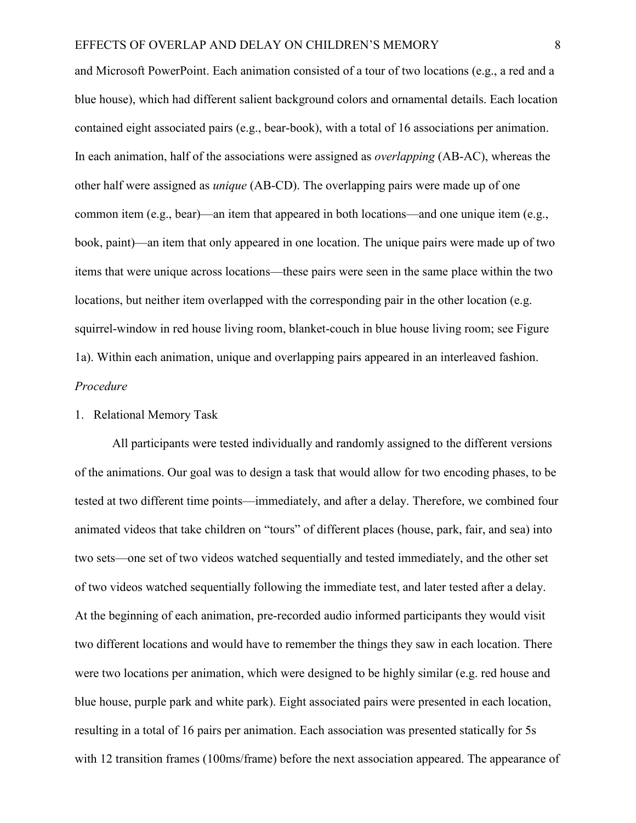and Microsoft PowerPoint. Each animation consisted of a tour of two locations (e.g., a red and a blue house), which had different salient background colors and ornamental details. Each location contained eight associated pairs (e.g., bear-book), with a total of 16 associations per animation. In each animation, half of the associations were assigned as *overlapping* (AB-AC), whereas the other half were assigned as *unique* (AB-CD). The overlapping pairs were made up of one common item (e.g., bear)—an item that appeared in both locations—and one unique item (e.g., book, paint)—an item that only appeared in one location. The unique pairs were made up of two items that were unique across locations—these pairs were seen in the same place within the two locations, but neither item overlapped with the corresponding pair in the other location (e.g. squirrel-window in red house living room, blanket-couch in blue house living room; see Figure 1a). Within each animation, unique and overlapping pairs appeared in an interleaved fashion. *Procedure*

#### 1. Relational Memory Task

All participants were tested individually and randomly assigned to the different versions of the animations. Our goal was to design a task that would allow for two encoding phases, to be tested at two different time points—immediately, and after a delay. Therefore, we combined four animated videos that take children on "tours" of different places (house, park, fair, and sea) into two sets—one set of two videos watched sequentially and tested immediately, and the other set of two videos watched sequentially following the immediate test, and later tested after a delay. At the beginning of each animation, pre-recorded audio informed participants they would visit two different locations and would have to remember the things they saw in each location. There were two locations per animation, which were designed to be highly similar (e.g. red house and blue house, purple park and white park). Eight associated pairs were presented in each location, resulting in a total of 16 pairs per animation. Each association was presented statically for 5s with 12 transition frames (100ms/frame) before the next association appeared. The appearance of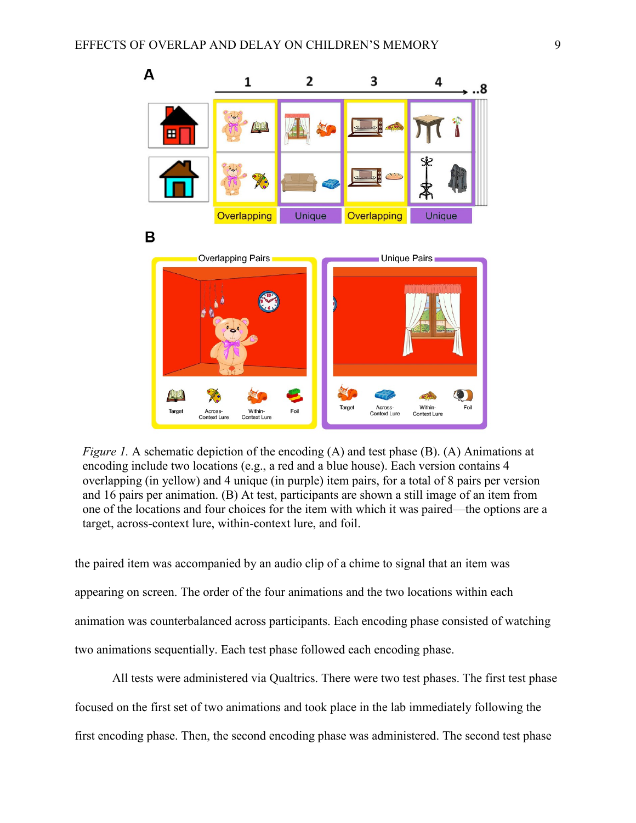

*Figure 1.* A schematic depiction of the encoding (A) and test phase (B). (A) Animations at encoding include two locations (e.g., a red and a blue house). Each version contains 4 overlapping (in yellow) and 4 unique (in purple) item pairs, for a total of 8 pairs per version and 16 pairs per animation. (B) At test, participants are shown a still image of an item from one of the locations and four choices for the item with which it was paired—the options are a target, across-context lure, within-context lure, and foil.

the paired item was accompanied by an audio clip of a chime to signal that an item was appearing on screen. The order of the four animations and the two locations within each animation was counterbalanced across participants. Each encoding phase consisted of watching two animations sequentially. Each test phase followed each encoding phase.

All tests were administered via Qualtrics. There were two test phases. The first test phase focused on the first set of two animations and took place in the lab immediately following the first encoding phase. Then, the second encoding phase was administered. The second test phase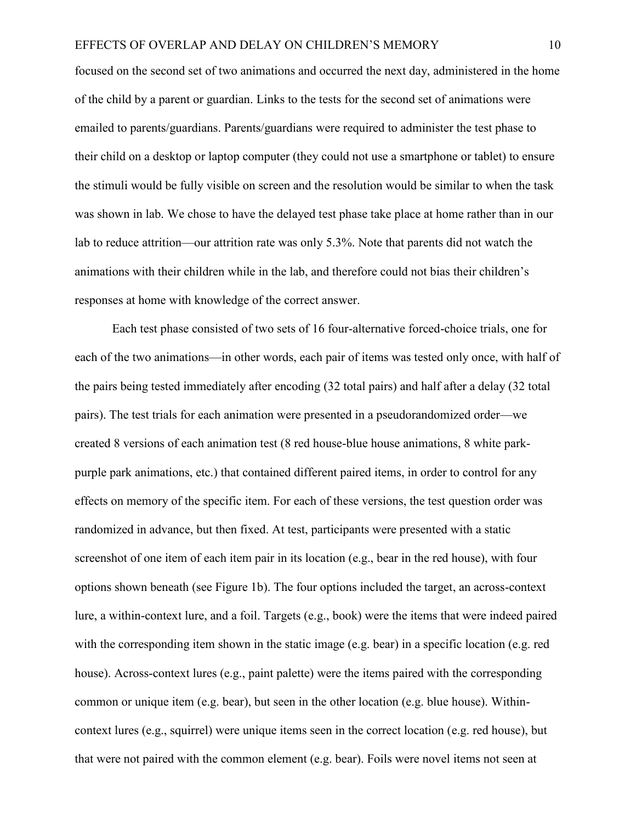#### EFFECTS OF OVERLAP AND DELAY ON CHILDREN'S MEMORY 10

focused on the second set of two animations and occurred the next day, administered in the home of the child by a parent or guardian. Links to the tests for the second set of animations were emailed to parents/guardians. Parents/guardians were required to administer the test phase to their child on a desktop or laptop computer (they could not use a smartphone or tablet) to ensure the stimuli would be fully visible on screen and the resolution would be similar to when the task was shown in lab. We chose to have the delayed test phase take place at home rather than in our lab to reduce attrition—our attrition rate was only 5.3%. Note that parents did not watch the animations with their children while in the lab, and therefore could not bias their children's responses at home with knowledge of the correct answer.

Each test phase consisted of two sets of 16 four-alternative forced-choice trials, one for each of the two animations—in other words, each pair of items was tested only once, with half of the pairs being tested immediately after encoding (32 total pairs) and half after a delay (32 total pairs). The test trials for each animation were presented in a pseudorandomized order—we created 8 versions of each animation test (8 red house-blue house animations, 8 white parkpurple park animations, etc.) that contained different paired items, in order to control for any effects on memory of the specific item. For each of these versions, the test question order was randomized in advance, but then fixed. At test, participants were presented with a static screenshot of one item of each item pair in its location (e.g., bear in the red house), with four options shown beneath (see Figure 1b). The four options included the target, an across-context lure, a within-context lure, and a foil. Targets (e.g., book) were the items that were indeed paired with the corresponding item shown in the static image (e.g. bear) in a specific location (e.g. red house). Across-context lures (e.g., paint palette) were the items paired with the corresponding common or unique item (e.g. bear), but seen in the other location (e.g. blue house). Withincontext lures (e.g., squirrel) were unique items seen in the correct location (e.g. red house), but that were not paired with the common element (e.g. bear). Foils were novel items not seen at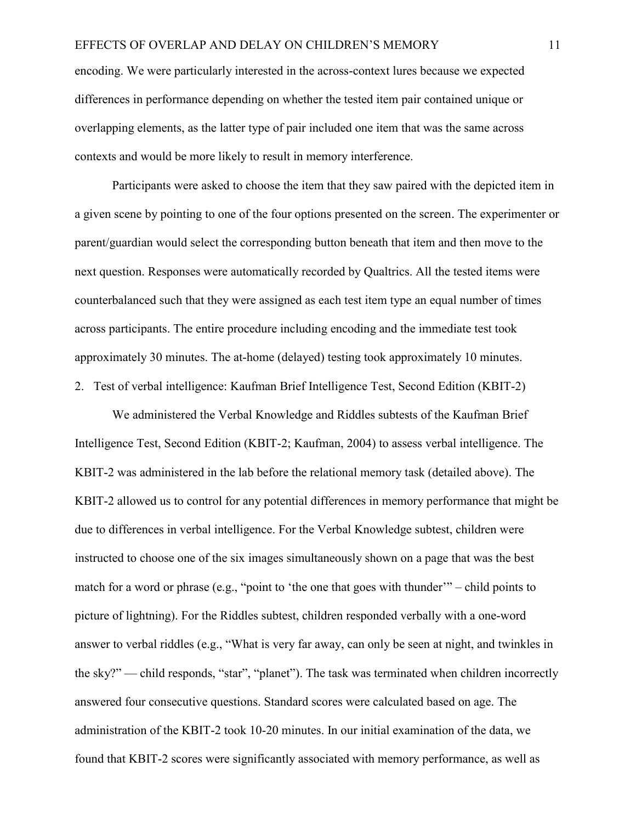encoding. We were particularly interested in the across-context lures because we expected differences in performance depending on whether the tested item pair contained unique or overlapping elements, as the latter type of pair included one item that was the same across contexts and would be more likely to result in memory interference.

Participants were asked to choose the item that they saw paired with the depicted item in a given scene by pointing to one of the four options presented on the screen. The experimenter or parent/guardian would select the corresponding button beneath that item and then move to the next question. Responses were automatically recorded by Qualtrics. All the tested items were counterbalanced such that they were assigned as each test item type an equal number of times across participants. The entire procedure including encoding and the immediate test took approximately 30 minutes. The at-home (delayed) testing took approximately 10 minutes. 2. Test of verbal intelligence: Kaufman Brief Intelligence Test, Second Edition (KBIT-2)

We administered the Verbal Knowledge and Riddles subtests of the Kaufman Brief Intelligence Test, Second Edition (KBIT-2; Kaufman, 2004) to assess verbal intelligence. The KBIT-2 was administered in the lab before the relational memory task (detailed above). The KBIT-2 allowed us to control for any potential differences in memory performance that might be due to differences in verbal intelligence. For the Verbal Knowledge subtest, children were instructed to choose one of the six images simultaneously shown on a page that was the best match for a word or phrase (e.g., "point to 'the one that goes with thunder'" – child points to picture of lightning). For the Riddles subtest, children responded verbally with a one-word answer to verbal riddles (e.g., "What is very far away, can only be seen at night, and twinkles in the sky?" — child responds, "star", "planet"). The task was terminated when children incorrectly answered four consecutive questions. Standard scores were calculated based on age. The administration of the KBIT-2 took 10-20 minutes. In our initial examination of the data, we found that KBIT-2 scores were significantly associated with memory performance, as well as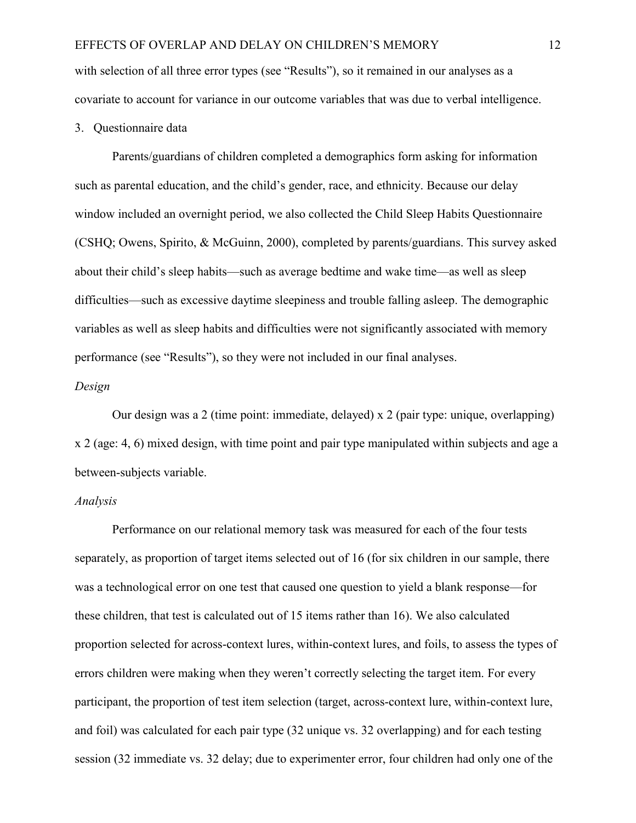with selection of all three error types (see "Results"), so it remained in our analyses as a covariate to account for variance in our outcome variables that was due to verbal intelligence.

#### 3. Questionnaire data

Parents/guardians of children completed a demographics form asking for information such as parental education, and the child's gender, race, and ethnicity. Because our delay window included an overnight period, we also collected the Child Sleep Habits Questionnaire (CSHQ; Owens, Spirito, & McGuinn, 2000), completed by parents/guardians. This survey asked about their child's sleep habits—such as average bedtime and wake time—as well as sleep difficulties—such as excessive daytime sleepiness and trouble falling asleep. The demographic variables as well as sleep habits and difficulties were not significantly associated with memory performance (see "Results"), so they were not included in our final analyses.

#### *Design*

Our design was a 2 (time point: immediate, delayed) x 2 (pair type: unique, overlapping) x 2 (age: 4, 6) mixed design, with time point and pair type manipulated within subjects and age a between-subjects variable.

## *Analysis*

Performance on our relational memory task was measured for each of the four tests separately, as proportion of target items selected out of 16 (for six children in our sample, there was a technological error on one test that caused one question to yield a blank response—for these children, that test is calculated out of 15 items rather than 16). We also calculated proportion selected for across-context lures, within-context lures, and foils, to assess the types of errors children were making when they weren't correctly selecting the target item. For every participant, the proportion of test item selection (target, across-context lure, within-context lure, and foil) was calculated for each pair type (32 unique vs. 32 overlapping) and for each testing session (32 immediate vs. 32 delay; due to experimenter error, four children had only one of the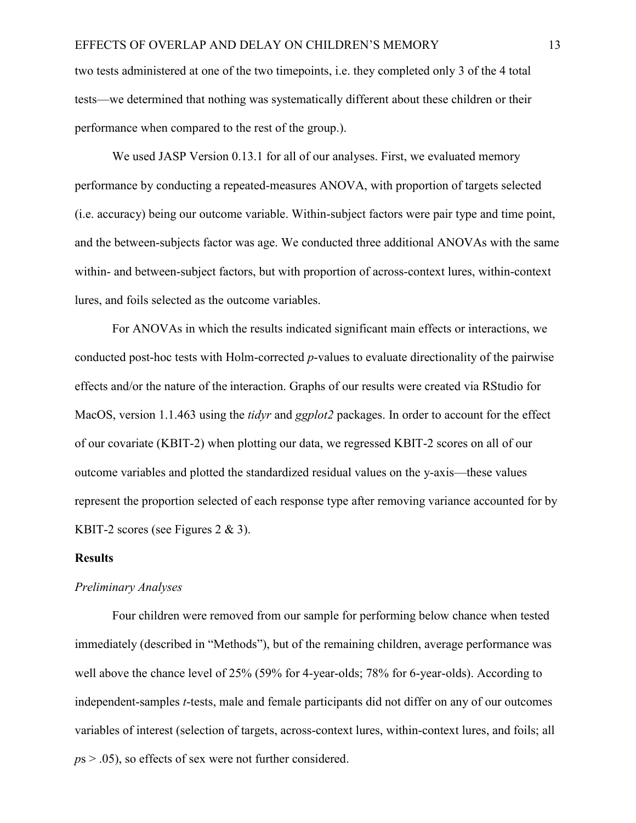two tests administered at one of the two timepoints, i.e. they completed only 3 of the 4 total tests—we determined that nothing was systematically different about these children or their performance when compared to the rest of the group.).

We used JASP Version 0.13.1 for all of our analyses. First, we evaluated memory performance by conducting a repeated-measures ANOVA, with proportion of targets selected (i.e. accuracy) being our outcome variable. Within-subject factors were pair type and time point, and the between-subjects factor was age. We conducted three additional ANOVAs with the same within- and between-subject factors, but with proportion of across-context lures, within-context lures, and foils selected as the outcome variables.

For ANOVAs in which the results indicated significant main effects or interactions, we conducted post-hoc tests with Holm-corrected *p*-values to evaluate directionality of the pairwise effects and/or the nature of the interaction. Graphs of our results were created via RStudio for MacOS, version 1.1.463 using the *tidyr* and *ggplot2* packages. In order to account for the effect of our covariate (KBIT-2) when plotting our data, we regressed KBIT-2 scores on all of our outcome variables and plotted the standardized residual values on the y-axis—these values represent the proportion selected of each response type after removing variance accounted for by KBIT-2 scores (see Figures 2 & 3).

#### **Results**

#### *Preliminary Analyses*

Four children were removed from our sample for performing below chance when tested immediately (described in "Methods"), but of the remaining children, average performance was well above the chance level of 25% (59% for 4-year-olds; 78% for 6-year-olds). According to independent-samples *t*-tests, male and female participants did not differ on any of our outcomes variables of interest (selection of targets, across-context lures, within-context lures, and foils; all *p*s > .05), so effects of sex were not further considered.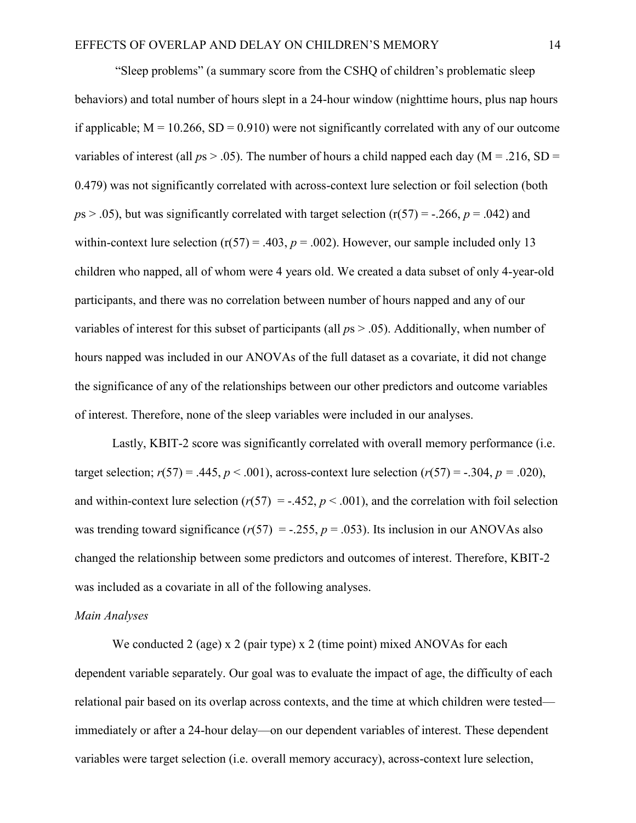"Sleep problems" (a summary score from the CSHQ of children's problematic sleep behaviors) and total number of hours slept in a 24-hour window (nighttime hours, plus nap hours if applicable;  $M = 10.266$ ,  $SD = 0.910$ ) were not significantly correlated with any of our outcome variables of interest (all  $ps > .05$ ). The number of hours a child napped each day (M = .216, SD = 0.479) was not significantly correlated with across-context lure selection or foil selection (both  $p_s > .05$ ), but was significantly correlated with target selection ( $r(57) = -.266$ ,  $p = .042$ ) and within-context lure selection  $(r(57) = .403, p = .002)$ . However, our sample included only 13 children who napped, all of whom were 4 years old. We created a data subset of only 4-year-old participants, and there was no correlation between number of hours napped and any of our variables of interest for this subset of participants (all *p*s > .05). Additionally, when number of hours napped was included in our ANOVAs of the full dataset as a covariate, it did not change the significance of any of the relationships between our other predictors and outcome variables of interest. Therefore, none of the sleep variables were included in our analyses.

Lastly, KBIT-2 score was significantly correlated with overall memory performance (i.e. target selection;  $r(57) = .445$ ,  $p < .001$ ), across-context lure selection  $(r(57) = -.304, p = .020)$ , and within-context lure selection  $(r(57) = -.452, p < .001)$ , and the correlation with foil selection was trending toward significance ( $r(57) = -.255$ ,  $p = .053$ ). Its inclusion in our ANOVAs also changed the relationship between some predictors and outcomes of interest. Therefore, KBIT-2 was included as a covariate in all of the following analyses.

## *Main Analyses*

We conducted 2 (age) x 2 (pair type) x 2 (time point) mixed ANOVAs for each dependent variable separately. Our goal was to evaluate the impact of age, the difficulty of each relational pair based on its overlap across contexts, and the time at which children were tested immediately or after a 24-hour delay—on our dependent variables of interest. These dependent variables were target selection (i.e. overall memory accuracy), across-context lure selection,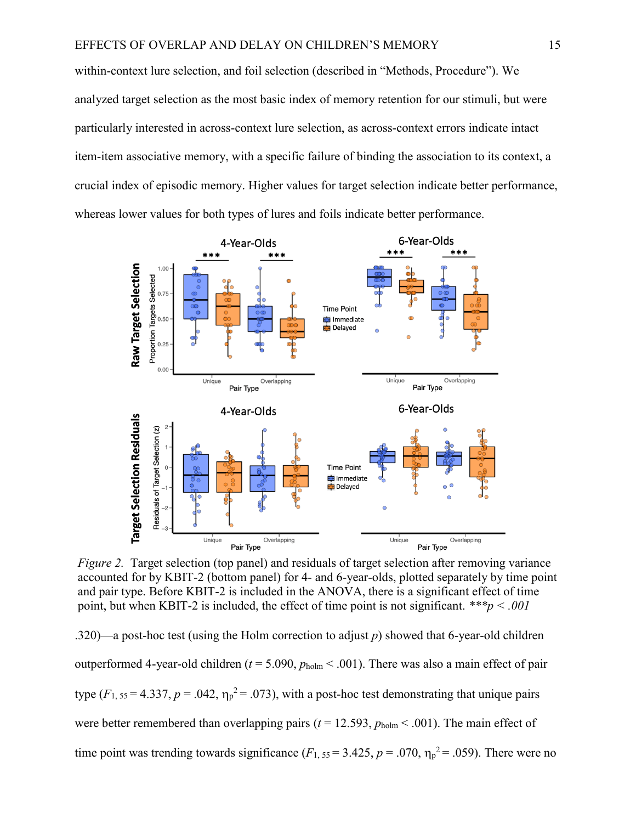within-context lure selection, and foil selection (described in "Methods, Procedure"). We analyzed target selection as the most basic index of memory retention for our stimuli, but were particularly interested in across-context lure selection, as across-context errors indicate intact item-item associative memory, with a specific failure of binding the association to its context, a crucial index of episodic memory. Higher values for target selection indicate better performance, whereas lower values for both types of lures and foils indicate better performance.



point, but when KBIT-2 is included, the effect of time point is not significant.  $^{***}p < .001$ *Figure 2.* Target selection (top panel) and residuals of target selection after removing variance accounted for by KBIT-2 (bottom panel) for 4- and 6-year-olds, plotted separately by time point and pair type. Before KBIT-2 is included in the ANOVA, there is a significant effect of time

.320)—a post-hoc test (using the Holm correction to adjust *p*) showed that 6-year-old children outperformed 4-year-old children ( $t = 5.090$ ,  $p_{\text{holm}} < .001$ ). There was also a main effect of pair type  $(F_{1, 55} = 4.337, p = .042, \eta_p^2 = .073)$ , with a post-hoc test demonstrating that unique pairs were better remembered than overlapping pairs ( $t = 12.593$ ,  $p_{\text{holm}} < .001$ ). The main effect of time point was trending towards significance  $(F_{1, 55} = 3.425, p = .070, \eta_p^2 = .059)$ . There were no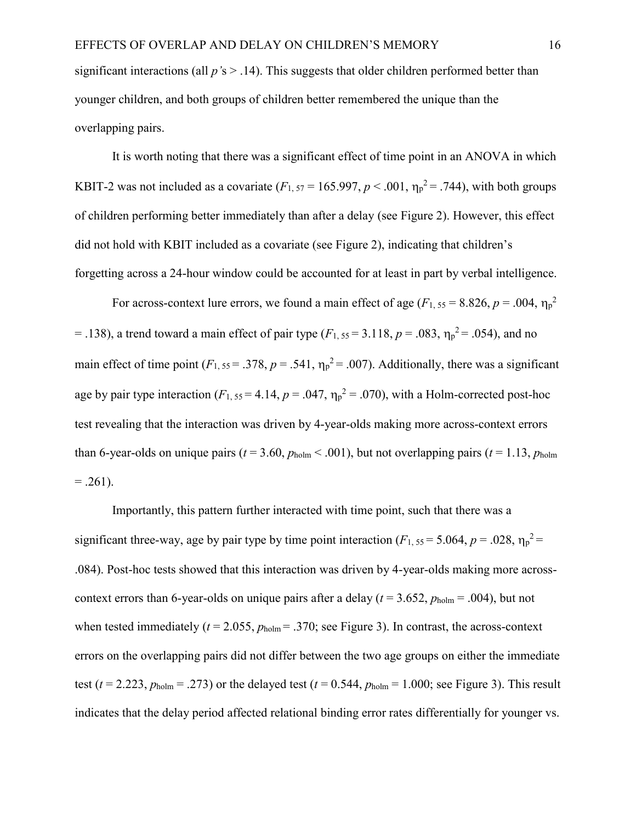significant interactions (all *p'*s > .14). This suggests that older children performed better than younger children, and both groups of children better remembered the unique than the overlapping pairs.

It is worth noting that there was a significant effect of time point in an ANOVA in which KBIT-2 was not included as a covariate  $(F_1, 57 = 165.997, p < .001, \eta_p^2 = .744)$ , with both groups of children performing better immediately than after a delay (see Figure 2). However, this effect did not hold with KBIT included as a covariate (see Figure 2), indicating that children's forgetting across a 24-hour window could be accounted for at least in part by verbal intelligence.

For across-context lure errors, we found a main effect of age ( $F_{1, 55} = 8.826$ ,  $p = .004$ ,  $\eta_p^2$ )  $=$  .138), a trend toward a main effect of pair type ( $F_{1, 55} = 3.118$ ,  $p = .083$ ,  $\eta_p^2 = .054$ ), and no main effect of time point  $(F_1, 55 = .378, p = .541, \eta_p^2 = .007)$ . Additionally, there was a significant age by pair type interaction  $(F_{1, 55} = 4.14, p = .047, \eta_p^2 = .070)$ , with a Holm-corrected post-hoc test revealing that the interaction was driven by 4-year-olds making more across-context errors than 6-year-olds on unique pairs ( $t = 3.60$ ,  $p_{\text{holm}} < .001$ ), but not overlapping pairs ( $t = 1.13$ ,  $p_{\text{holm}}$ )  $=.261).$ 

Importantly, this pattern further interacted with time point, such that there was a significant three-way, age by pair type by time point interaction  $(F_1, 55 = 5.064, p = .028, \eta_p^2 =$ .084). Post-hoc tests showed that this interaction was driven by 4-year-olds making more acrosscontext errors than 6-year-olds on unique pairs after a delay ( $t = 3.652$ ,  $p_{\text{holm}} = .004$ ), but not when tested immediately ( $t = 2.055$ ,  $p_{\text{holm}} = .370$ ; see Figure 3). In contrast, the across-context errors on the overlapping pairs did not differ between the two age groups on either the immediate test ( $t = 2.223$ ,  $p_{\text{holm}} = .273$ ) or the delayed test ( $t = 0.544$ ,  $p_{\text{holm}} = 1.000$ ; see Figure 3). This result indicates that the delay period affected relational binding error rates differentially for younger vs.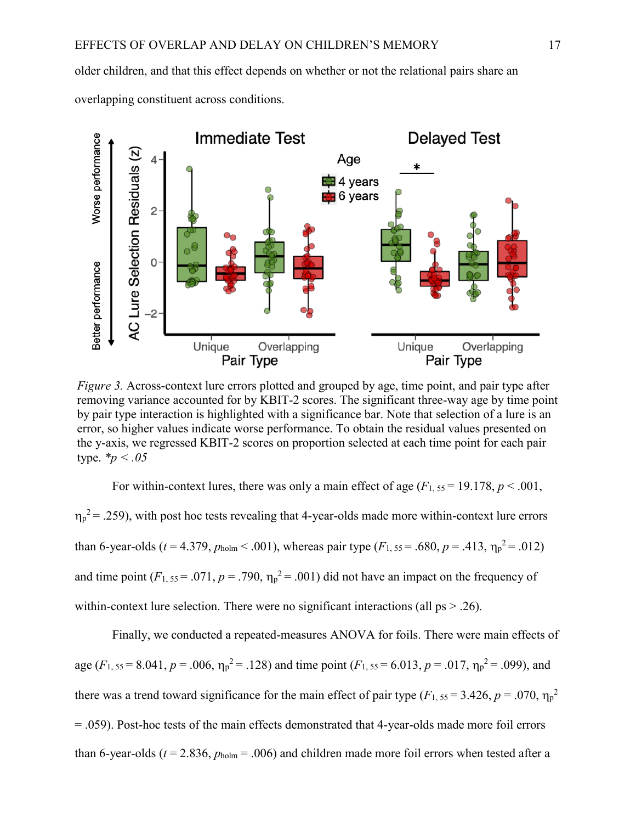older children, and that this effect depends on whether or not the relational pairs share an overlapping constituent across conditions.



*Figure 3.* Across-context lure errors plotted and grouped by age, time point, and pair type after removing variance accounted for by KBIT-2 scores. The significant three-way age by time point by pair type interaction is highlighted with a significance bar. Note that selection of a lure is an error, so higher values indicate worse performance. To obtain the residual values presented on the y-axis, we regressed KBIT-2 scores on proportion selected at each time point for each pair type. *\*p < .05*

For within-context lures, there was only a main effect of age  $(F_1, 55 = 19.178, p \le 0.001$ ,  $\eta_p^2 = 0.259$ , with post hoc tests revealing that 4-year-olds made more within-context lure errors than 6-year-olds ( $t = 4.379$ ,  $p_{\text{holm}} < .001$ ), whereas pair type ( $F_{1, 55} = .680$ ,  $p = .413$ ,  $\eta_{p}^{2} = .012$ ) and time point  $(F_1, 55 = .071, p = .790, \eta_p^2 = .001)$  did not have an impact on the frequency of within-context lure selection. There were no significant interactions (all  $ps > .26$ ).

Finally, we conducted a repeated-measures ANOVA for foils. There were main effects of age  $(F_1, 55 = 8.041, p = .006, \eta_p^2 = .128)$  and time point  $(F_1, 55 = 6.013, p = .017, \eta_p^2 = .099)$ , and there was a trend toward significance for the main effect of pair type  $(F_1, 55 = 3.426, p = .070, \eta_p^2$ = .059). Post-hoc tests of the main effects demonstrated that 4-year-olds made more foil errors than 6-year-olds ( $t = 2.836$ ,  $p_{\text{holm}} = .006$ ) and children made more foil errors when tested after a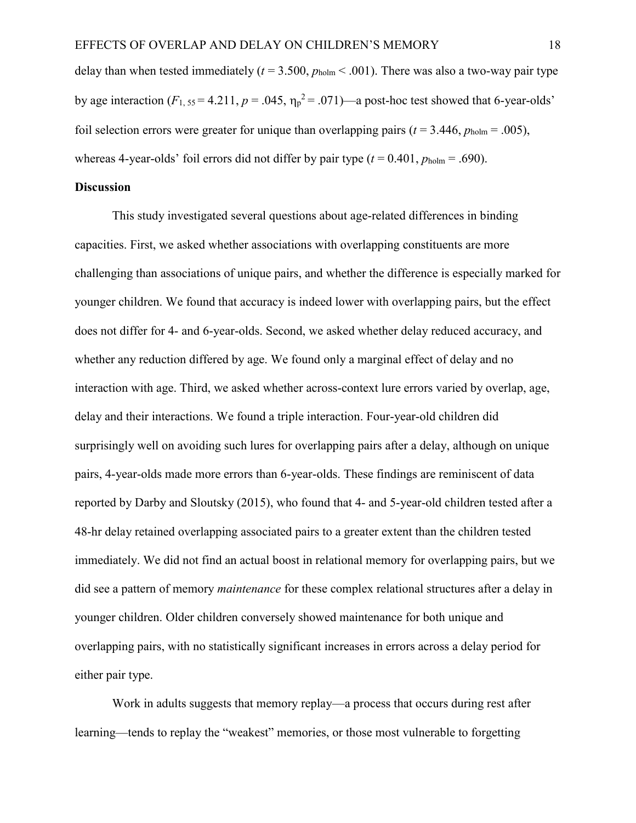delay than when tested immediately ( $t = 3.500$ ,  $p_{\text{holm}} < .001$ ). There was also a two-way pair type by age interaction  $(F_1, 55 = 4.211, p = .045, \eta_p^2 = .071$ —a post-hoc test showed that 6-year-olds' foil selection errors were greater for unique than overlapping pairs ( $t = 3.446$ ,  $p_{\text{holm}} = .005$ ), whereas 4-year-olds' foil errors did not differ by pair type  $(t = 0.401, p_{\text{holm}} = .690)$ .

#### **Discussion**

This study investigated several questions about age-related differences in binding capacities. First, we asked whether associations with overlapping constituents are more challenging than associations of unique pairs, and whether the difference is especially marked for younger children. We found that accuracy is indeed lower with overlapping pairs, but the effect does not differ for 4- and 6-year-olds. Second, we asked whether delay reduced accuracy, and whether any reduction differed by age. We found only a marginal effect of delay and no interaction with age. Third, we asked whether across-context lure errors varied by overlap, age, delay and their interactions. We found a triple interaction. Four-year-old children did surprisingly well on avoiding such lures for overlapping pairs after a delay, although on unique pairs, 4-year-olds made more errors than 6-year-olds. These findings are reminiscent of data reported by Darby and Sloutsky (2015), who found that 4- and 5-year-old children tested after a 48-hr delay retained overlapping associated pairs to a greater extent than the children tested immediately. We did not find an actual boost in relational memory for overlapping pairs, but we did see a pattern of memory *maintenance* for these complex relational structures after a delay in younger children. Older children conversely showed maintenance for both unique and overlapping pairs, with no statistically significant increases in errors across a delay period for either pair type.

Work in adults suggests that memory replay—a process that occurs during rest after learning—tends to replay the "weakest" memories, or those most vulnerable to forgetting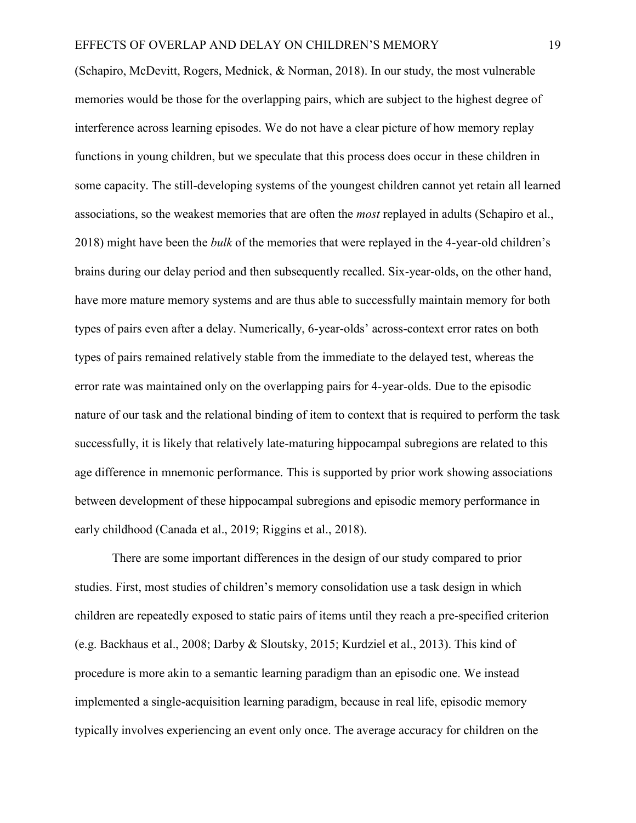(Schapiro, McDevitt, Rogers, Mednick, & Norman, 2018). In our study, the most vulnerable memories would be those for the overlapping pairs, which are subject to the highest degree of interference across learning episodes. We do not have a clear picture of how memory replay functions in young children, but we speculate that this process does occur in these children in some capacity. The still-developing systems of the youngest children cannot yet retain all learned associations, so the weakest memories that are often the *most* replayed in adults (Schapiro et al., 2018) might have been the *bulk* of the memories that were replayed in the 4-year-old children's brains during our delay period and then subsequently recalled. Six-year-olds, on the other hand, have more mature memory systems and are thus able to successfully maintain memory for both types of pairs even after a delay. Numerically, 6-year-olds' across-context error rates on both types of pairs remained relatively stable from the immediate to the delayed test, whereas the error rate was maintained only on the overlapping pairs for 4-year-olds. Due to the episodic nature of our task and the relational binding of item to context that is required to perform the task successfully, it is likely that relatively late-maturing hippocampal subregions are related to this age difference in mnemonic performance. This is supported by prior work showing associations between development of these hippocampal subregions and episodic memory performance in early childhood (Canada et al., 2019; Riggins et al., 2018).

There are some important differences in the design of our study compared to prior studies. First, most studies of children's memory consolidation use a task design in which children are repeatedly exposed to static pairs of items until they reach a pre-specified criterion (e.g. Backhaus et al., 2008; Darby & Sloutsky, 2015; Kurdziel et al., 2013). This kind of procedure is more akin to a semantic learning paradigm than an episodic one. We instead implemented a single-acquisition learning paradigm, because in real life, episodic memory typically involves experiencing an event only once. The average accuracy for children on the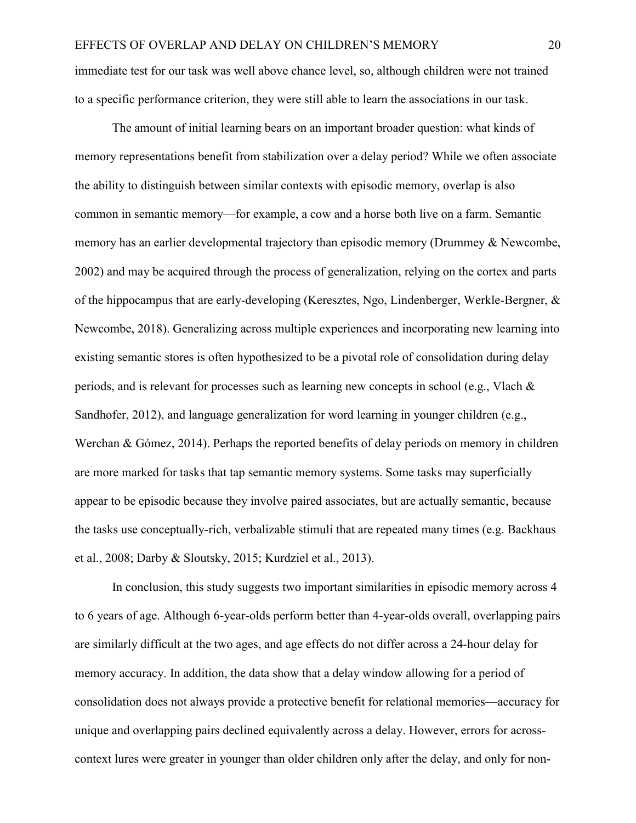immediate test for our task was well above chance level, so, although children were not trained to a specific performance criterion, they were still able to learn the associations in our task.

The amount of initial learning bears on an important broader question: what kinds of memory representations benefit from stabilization over a delay period? While we often associate the ability to distinguish between similar contexts with episodic memory, overlap is also common in semantic memory—for example, a cow and a horse both live on a farm. Semantic memory has an earlier developmental trajectory than episodic memory (Drummey & Newcombe, 2002) and may be acquired through the process of generalization, relying on the cortex and parts of the hippocampus that are early-developing (Keresztes, Ngo, Lindenberger, Werkle-Bergner, & Newcombe, 2018). Generalizing across multiple experiences and incorporating new learning into existing semantic stores is often hypothesized to be a pivotal role of consolidation during delay periods, and is relevant for processes such as learning new concepts in school (e.g., Vlach & Sandhofer, 2012), and language generalization for word learning in younger children (e.g., Werchan & Gómez, 2014). Perhaps the reported benefits of delay periods on memory in children are more marked for tasks that tap semantic memory systems. Some tasks may superficially appear to be episodic because they involve paired associates, but are actually semantic, because the tasks use conceptually-rich, verbalizable stimuli that are repeated many times (e.g. Backhaus et al., 2008; Darby & Sloutsky, 2015; Kurdziel et al., 2013).

In conclusion, this study suggests two important similarities in episodic memory across 4 to 6 years of age. Although 6-year-olds perform better than 4-year-olds overall, overlapping pairs are similarly difficult at the two ages, and age effects do not differ across a 24-hour delay for memory accuracy. In addition, the data show that a delay window allowing for a period of consolidation does not always provide a protective benefit for relational memories—accuracy for unique and overlapping pairs declined equivalently across a delay. However, errors for acrosscontext lures were greater in younger than older children only after the delay, and only for non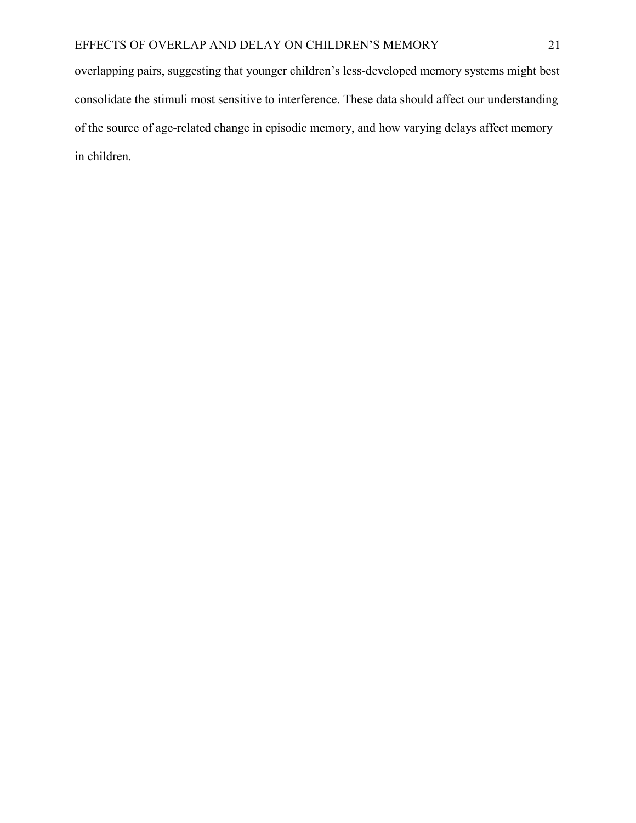overlapping pairs, suggesting that younger children's less-developed memory systems might best consolidate the stimuli most sensitive to interference. These data should affect our understanding of the source of age-related change in episodic memory, and how varying delays affect memory in children.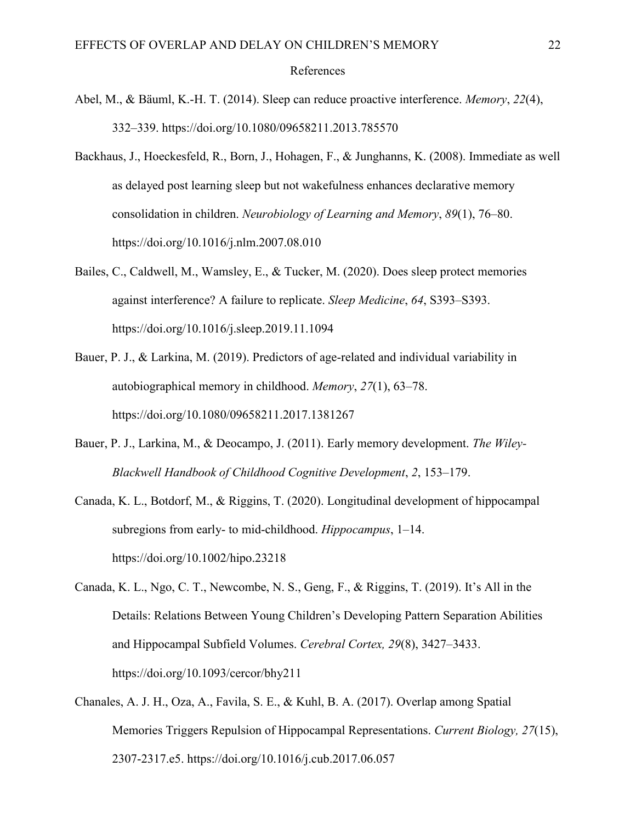## References

- Abel, M., & Bäuml, K.-H. T. (2014). Sleep can reduce proactive interference. *Memory*, *22*(4), 332–339. https://doi.org/10.1080/09658211.2013.785570
- Backhaus, J., Hoeckesfeld, R., Born, J., Hohagen, F., & Junghanns, K. (2008). Immediate as well as delayed post learning sleep but not wakefulness enhances declarative memory consolidation in children. *Neurobiology of Learning and Memory*, *89*(1), 76–80. https://doi.org/10.1016/j.nlm.2007.08.010
- Bailes, C., Caldwell, M., Wamsley, E., & Tucker, M. (2020). Does sleep protect memories against interference? A failure to replicate. *Sleep Medicine*, *64*, S393–S393. https://doi.org/10.1016/j.sleep.2019.11.1094
- Bauer, P. J., & Larkina, M. (2019). Predictors of age-related and individual variability in autobiographical memory in childhood. *Memory*, *27*(1), 63–78. https://doi.org/10.1080/09658211.2017.1381267
- Bauer, P. J., Larkina, M., & Deocampo, J. (2011). Early memory development. *The Wiley-Blackwell Handbook of Childhood Cognitive Development*, *2*, 153–179.
- Canada, K. L., Botdorf, M., & Riggins, T. (2020). Longitudinal development of hippocampal subregions from early- to mid-childhood. *Hippocampus*, 1–14. https://doi.org/10.1002/hipo.23218
- Canada, K. L., Ngo, C. T., Newcombe, N. S., Geng, F., & Riggins, T. (2019). It's All in the Details: Relations Between Young Children's Developing Pattern Separation Abilities and Hippocampal Subfield Volumes. *Cerebral Cortex, 29*(8), 3427–3433. https://doi.org/10.1093/cercor/bhy211
- Chanales, A. J. H., Oza, A., Favila, S. E., & Kuhl, B. A. (2017). Overlap among Spatial Memories Triggers Repulsion of Hippocampal Representations. *Current Biology, 27*(15), 2307-2317.e5. https://doi.org/10.1016/j.cub.2017.06.057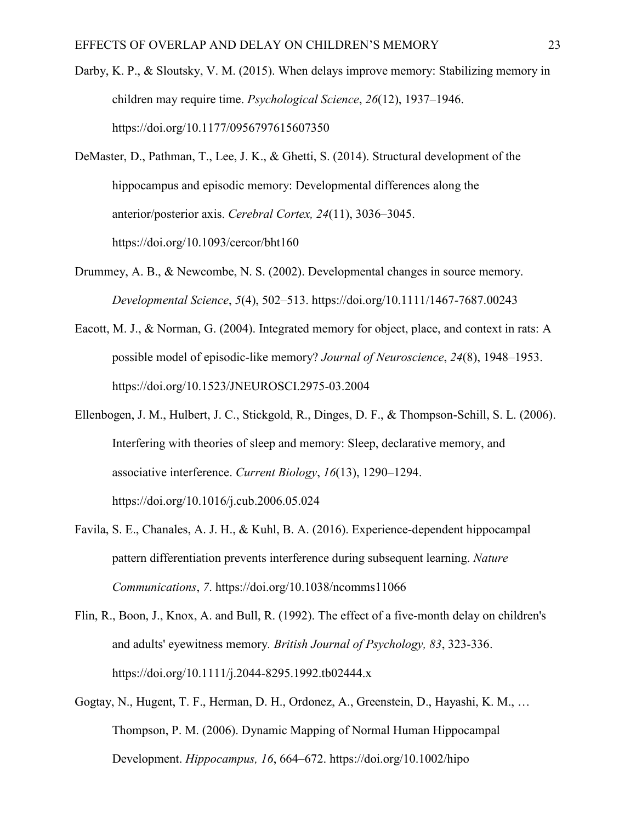- Darby, K. P., & Sloutsky, V. M. (2015). When delays improve memory: Stabilizing memory in children may require time. *Psychological Science*, *26*(12), 1937–1946. https://doi.org/10.1177/0956797615607350
- DeMaster, D., Pathman, T., Lee, J. K., & Ghetti, S. (2014). Structural development of the hippocampus and episodic memory: Developmental differences along the anterior/posterior axis. *Cerebral Cortex, 24*(11), 3036–3045. https://doi.org/10.1093/cercor/bht160
- Drummey, A. B., & Newcombe, N. S. (2002). Developmental changes in source memory. *Developmental Science*, *5*(4), 502–513. https://doi.org/10.1111/1467-7687.00243
- Eacott, M. J., & Norman, G. (2004). Integrated memory for object, place, and context in rats: A possible model of episodic-like memory? *Journal of Neuroscience*, *24*(8), 1948–1953. https://doi.org/10.1523/JNEUROSCI.2975-03.2004
- Ellenbogen, J. M., Hulbert, J. C., Stickgold, R., Dinges, D. F., & Thompson-Schill, S. L. (2006). Interfering with theories of sleep and memory: Sleep, declarative memory, and associative interference. *Current Biology*, *16*(13), 1290–1294. https://doi.org/10.1016/j.cub.2006.05.024
- Favila, S. E., Chanales, A. J. H., & Kuhl, B. A. (2016). Experience-dependent hippocampal pattern differentiation prevents interference during subsequent learning. *Nature Communications*, *7*. https://doi.org/10.1038/ncomms11066
- Flin, R., Boon, J., Knox, A. and Bull, R. (1992). The effect of a five-month delay on children's and adults' eyewitness memory*. British Journal of Psychology, 83*, 323-336. https://doi.org/10.1111/j.2044-8295.1992.tb02444.x
- Gogtay, N., Hugent, T. F., Herman, D. H., Ordonez, A., Greenstein, D., Hayashi, K. M., … Thompson, P. M. (2006). Dynamic Mapping of Normal Human Hippocampal Development. *Hippocampus, 16*, 664–672. https://doi.org/10.1002/hipo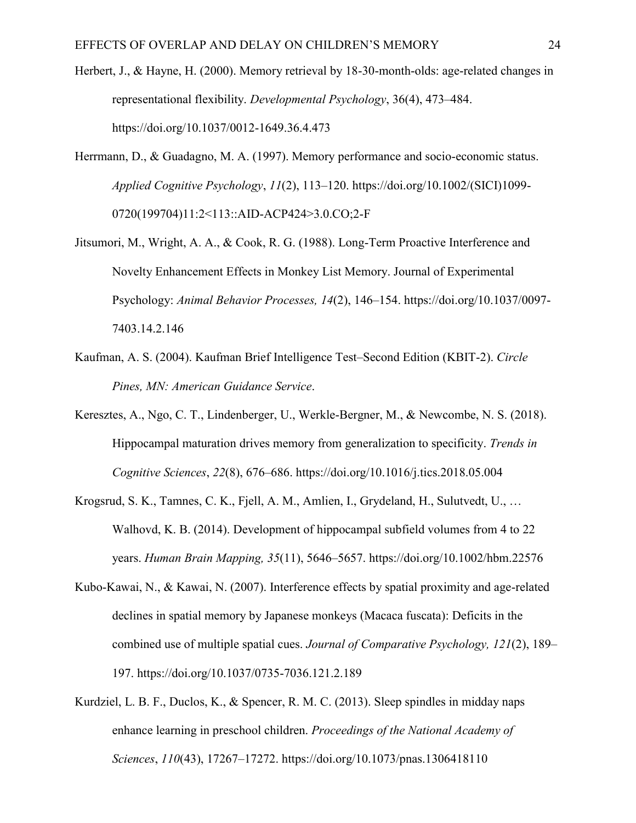- Herbert, J., & Hayne, H. (2000). Memory retrieval by 18-30-month-olds: age-related changes in representational flexibility. *Developmental Psychology*, 36(4), 473–484. https://doi.org/10.1037/0012-1649.36.4.473
- Herrmann, D., & Guadagno, M. A. (1997). Memory performance and socio-economic status. *Applied Cognitive Psychology*, *11*(2), 113–120. https://doi.org/10.1002/(SICI)1099- 0720(199704)11:2<113::AID-ACP424>3.0.CO;2-F
- Jitsumori, M., Wright, A. A., & Cook, R. G. (1988). Long-Term Proactive Interference and Novelty Enhancement Effects in Monkey List Memory. Journal of Experimental Psychology: *Animal Behavior Processes, 14*(2), 146–154. https://doi.org/10.1037/0097- 7403.14.2.146
- Kaufman, A. S. (2004). Kaufman Brief Intelligence Test–Second Edition (KBIT-2). *Circle Pines, MN: American Guidance Service*.
- Keresztes, A., Ngo, C. T., Lindenberger, U., Werkle-Bergner, M., & Newcombe, N. S. (2018). Hippocampal maturation drives memory from generalization to specificity. *Trends in Cognitive Sciences*, *22*(8), 676–686. https://doi.org/10.1016/j.tics.2018.05.004
- Krogsrud, S. K., Tamnes, C. K., Fjell, A. M., Amlien, I., Grydeland, H., Sulutvedt, U., … Walhovd, K. B. (2014). Development of hippocampal subfield volumes from 4 to 22 years. *Human Brain Mapping, 35*(11), 5646–5657. https://doi.org/10.1002/hbm.22576
- Kubo-Kawai, N., & Kawai, N. (2007). Interference effects by spatial proximity and age-related declines in spatial memory by Japanese monkeys (Macaca fuscata): Deficits in the combined use of multiple spatial cues. *Journal of Comparative Psychology, 121*(2), 189– 197. https://doi.org/10.1037/0735-7036.121.2.189
- Kurdziel, L. B. F., Duclos, K., & Spencer, R. M. C. (2013). Sleep spindles in midday naps enhance learning in preschool children. *Proceedings of the National Academy of Sciences*, *110*(43), 17267–17272. https://doi.org/10.1073/pnas.1306418110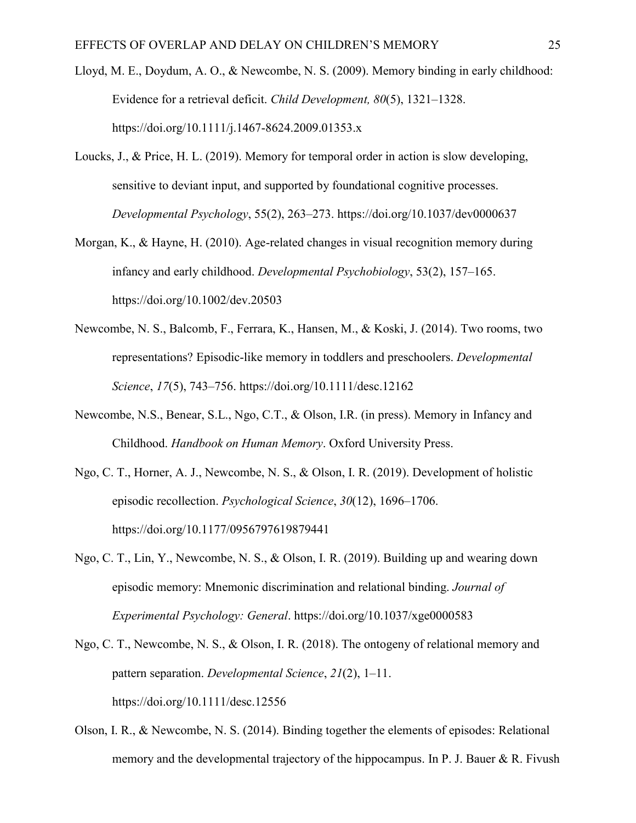- Lloyd, M. E., Doydum, A. O., & Newcombe, N. S. (2009). Memory binding in early childhood: Evidence for a retrieval deficit. *Child Development, 80*(5), 1321–1328. https://doi.org/10.1111/j.1467-8624.2009.01353.x
- Loucks, J., & Price, H. L. (2019). Memory for temporal order in action is slow developing, sensitive to deviant input, and supported by foundational cognitive processes. *Developmental Psychology*, 55(2), 263–273. https://doi.org/10.1037/dev0000637
- Morgan, K., & Hayne, H. (2010). Age-related changes in visual recognition memory during infancy and early childhood. *Developmental Psychobiology*, 53(2), 157–165. https://doi.org/10.1002/dev.20503
- Newcombe, N. S., Balcomb, F., Ferrara, K., Hansen, M., & Koski, J. (2014). Two rooms, two representations? Episodic-like memory in toddlers and preschoolers. *Developmental Science*, *17*(5), 743–756. https://doi.org/10.1111/desc.12162
- Newcombe, N.S., Benear, S.L., Ngo, C.T., & Olson, I.R. (in press). Memory in Infancy and Childhood. *Handbook on Human Memory*. Oxford University Press.
- Ngo, C. T., Horner, A. J., Newcombe, N. S., & Olson, I. R. (2019). Development of holistic episodic recollection. *Psychological Science*, *30*(12), 1696–1706. https://doi.org/10.1177/0956797619879441
- Ngo, C. T., Lin, Y., Newcombe, N. S., & Olson, I. R. (2019). Building up and wearing down episodic memory: Mnemonic discrimination and relational binding. *Journal of Experimental Psychology: General*. https://doi.org/10.1037/xge0000583
- Ngo, C. T., Newcombe, N. S., & Olson, I. R. (2018). The ontogeny of relational memory and pattern separation. *Developmental Science*, *21*(2), 1–11. https://doi.org/10.1111/desc.12556
- Olson, I. R., & Newcombe, N. S. (2014). Binding together the elements of episodes: Relational memory and the developmental trajectory of the hippocampus. In P. J. Bauer & R. Fivush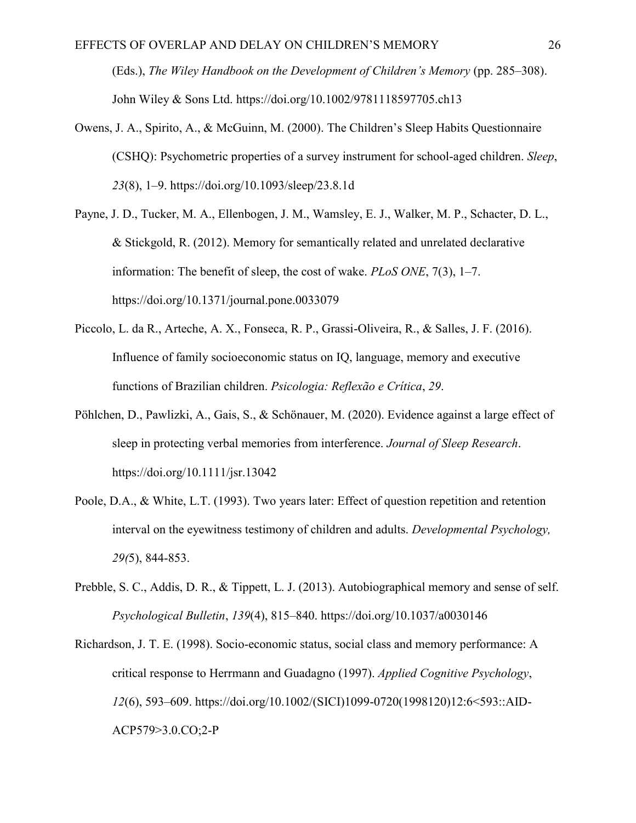(Eds.), *The Wiley Handbook on the Development of Children's Memory* (pp. 285–308). John Wiley & Sons Ltd. https://doi.org/10.1002/9781118597705.ch13

- Owens, J. A., Spirito, A., & McGuinn, M. (2000). The Children's Sleep Habits Questionnaire (CSHQ): Psychometric properties of a survey instrument for school-aged children. *Sleep*, *23*(8), 1–9. https://doi.org/10.1093/sleep/23.8.1d
- Payne, J. D., Tucker, M. A., Ellenbogen, J. M., Wamsley, E. J., Walker, M. P., Schacter, D. L., & Stickgold, R. (2012). Memory for semantically related and unrelated declarative information: The benefit of sleep, the cost of wake. *PLoS ONE*, 7(3), 1–7. https://doi.org/10.1371/journal.pone.0033079
- Piccolo, L. da R., Arteche, A. X., Fonseca, R. P., Grassi-Oliveira, R., & Salles, J. F. (2016). Influence of family socioeconomic status on IQ, language, memory and executive functions of Brazilian children. *Psicologia: Reflexão e Crítica*, *29*.
- Pöhlchen, D., Pawlizki, A., Gais, S., & Schönauer, M. (2020). Evidence against a large effect of sleep in protecting verbal memories from interference. *Journal of Sleep Research*. https://doi.org/10.1111/jsr.13042
- Poole, D.A., & White, L.T. (1993). Two years later: Effect of question repetition and retention interval on the eyewitness testimony of children and adults. *Developmental Psychology, 29(*5), 844-853.
- Prebble, S. C., Addis, D. R., & Tippett, L. J. (2013). Autobiographical memory and sense of self. *Psychological Bulletin*, *139*(4), 815–840. https://doi.org/10.1037/a0030146
- Richardson, J. T. E. (1998). Socio-economic status, social class and memory performance: A critical response to Herrmann and Guadagno (1997). *Applied Cognitive Psychology*, *12*(6), 593–609. https://doi.org/10.1002/(SICI)1099-0720(1998120)12:6<593::AID-ACP579>3.0.CO;2-P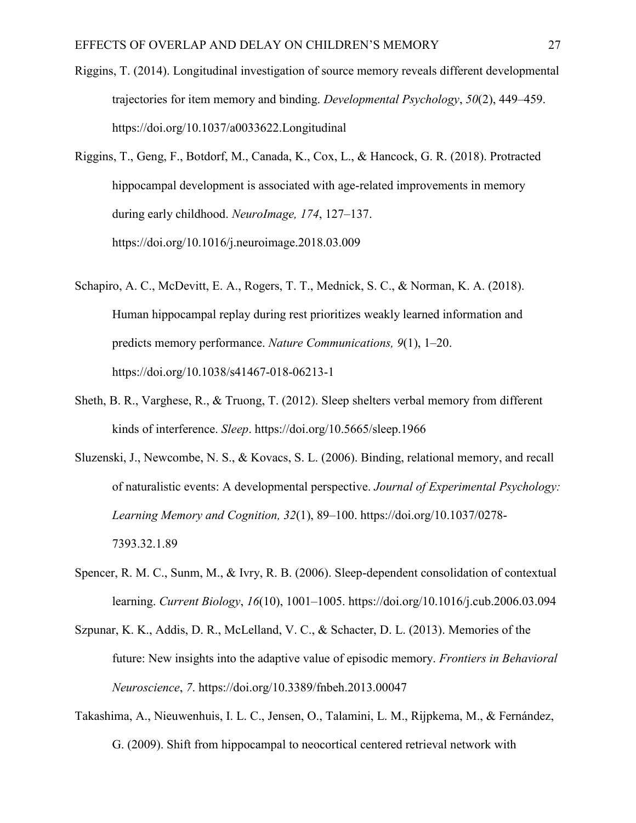- Riggins, T. (2014). Longitudinal investigation of source memory reveals different developmental trajectories for item memory and binding. *Developmental Psychology*, *50*(2), 449–459. https://doi.org/10.1037/a0033622.Longitudinal
- Riggins, T., Geng, F., Botdorf, M., Canada, K., Cox, L., & Hancock, G. R. (2018). Protracted hippocampal development is associated with age-related improvements in memory during early childhood. *NeuroImage, 174*, 127–137. https://doi.org/10.1016/j.neuroimage.2018.03.009
- Schapiro, A. C., McDevitt, E. A., Rogers, T. T., Mednick, S. C., & Norman, K. A. (2018). Human hippocampal replay during rest prioritizes weakly learned information and predicts memory performance. *Nature Communications, 9*(1), 1–20. https://doi.org/10.1038/s41467-018-06213-1
- Sheth, B. R., Varghese, R., & Truong, T. (2012). Sleep shelters verbal memory from different kinds of interference. *Sleep*. https://doi.org/10.5665/sleep.1966
- Sluzenski, J., Newcombe, N. S., & Kovacs, S. L. (2006). Binding, relational memory, and recall of naturalistic events: A developmental perspective. *Journal of Experimental Psychology: Learning Memory and Cognition, 32*(1), 89–100. https://doi.org/10.1037/0278- 7393.32.1.89
- Spencer, R. M. C., Sunm, M., & Ivry, R. B. (2006). Sleep-dependent consolidation of contextual learning. *Current Biology*, *16*(10), 1001–1005. https://doi.org/10.1016/j.cub.2006.03.094
- Szpunar, K. K., Addis, D. R., McLelland, V. C., & Schacter, D. L. (2013). Memories of the future: New insights into the adaptive value of episodic memory. *Frontiers in Behavioral Neuroscience*, *7*. https://doi.org/10.3389/fnbeh.2013.00047
- Takashima, A., Nieuwenhuis, I. L. C., Jensen, O., Talamini, L. M., Rijpkema, M., & Fernández, G. (2009). Shift from hippocampal to neocortical centered retrieval network with